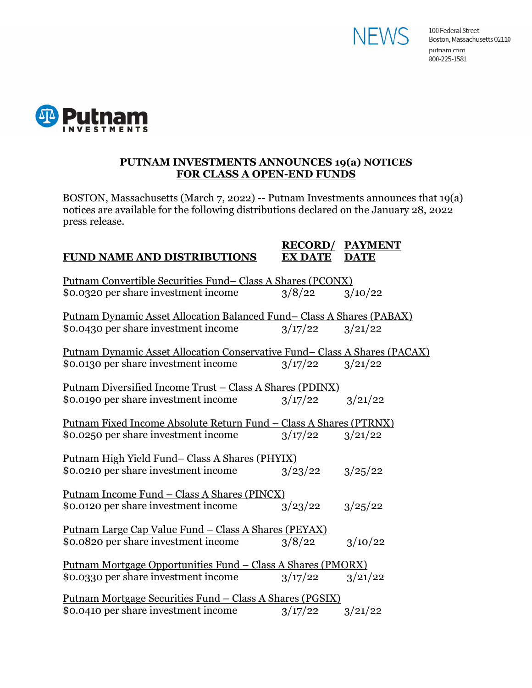



#### **PUTNAM INVESTMENTS ANNOUNCES 19(a) NOTICES FOR CLASS A OPEN-END FUNDS**

BOSTON, Massachusetts (March 7, 2022) -- Putnam Investments announces that 19(a) notices are available for the following distributions declared on the January 28, 2022 press release.

#### **RECORD/ PAYMENT FUND NAME AND DISTRIBUTIONS EX DATE DATE**

| <u>Putnam Convertible Securities Fund-Class A Shares (PCONX)</u>          |         |         |  |
|---------------------------------------------------------------------------|---------|---------|--|
| \$0.0320 per share investment income                                      | 3/8/22  | 3/10/22 |  |
| Putnam Dynamic Asset Allocation Balanced Fund-Class A Shares (PABAX)      |         |         |  |
| \$0.0430 per share investment income                                      | 3/17/22 | 3/21/22 |  |
| Putnam Dynamic Asset Allocation Conservative Fund–Class A Shares (PACAX)  |         |         |  |
| \$0.0130 per share investment income                                      | 3/17/22 | 3/21/22 |  |
| <u> Putnam Diversified Income Trust – Class A Shares (PDINX)</u>          |         |         |  |
| \$0.0190 per share investment income                                      | 3/17/22 | 3/21/22 |  |
| <u> Putnam Fixed Income Absolute Return Fund – Class A Shares (PTRNX)</u> |         |         |  |
| \$0.0250 per share investment income                                      | 3/17/22 | 3/21/22 |  |
| <u>Putnam High Yield Fund–Class A Shares (PHYIX)</u>                      |         |         |  |
| \$0.0210 per share investment income                                      | 3/23/22 | 3/25/22 |  |
| <u> Putnam Income Fund – Class A Shares (PINCX)</u>                       |         |         |  |
| \$0.0120 per share investment income                                      | 3/23/22 | 3/25/22 |  |
| <u> Putnam Large Cap Value Fund – Class A Shares (PEYAX)</u>              |         |         |  |
| \$0.0820 per share investment income                                      | 3/8/22  | 3/10/22 |  |
| Putnam Mortgage Opportunities Fund - Class A Shares (PMORX)               |         |         |  |
| \$0.0330 per share investment income                                      | 3/17/22 | 3/21/22 |  |
| <u> Putnam Mortgage Securities Fund – Class A Shares (PGSIX)</u>          |         |         |  |
| \$0.0410 per share investment income                                      | 3/17/22 | 3/21/22 |  |